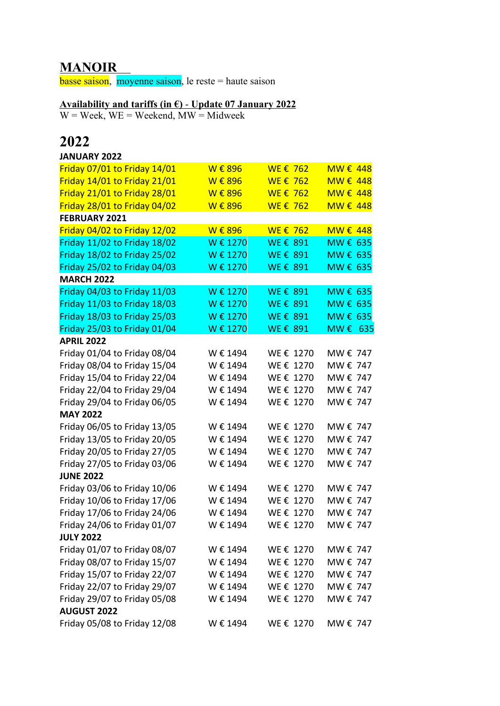## **MANOIR**

**basse saison**, moyenne saison, le reste = haute saison

## **Availability and tariffs (in €)** - **Update 07 January 2022**

 $W =$  Week,  $WE =$  Weekend,  $MW =$  Midweek

## **2022**

| <b>JANUARY 2022</b>          |          |           |          |
|------------------------------|----------|-----------|----------|
| Friday 07/01 to Friday 14/01 | W € 896  | WE € 762  | MW € 448 |
| Friday 14/01 to Friday 21/01 | W € 896  | WE € 762  | MW € 448 |
| Friday 21/01 to Friday 28/01 | W € 896  | WE € 762  | MW € 448 |
| Friday 28/01 to Friday 04/02 | W € 896  | WE € 762  | MW € 448 |
| <b>FEBRUARY 2021</b>         |          |           |          |
| Friday 04/02 to Friday 12/02 | W € 896  | WE € 762  | MW € 448 |
| Friday 11/02 to Friday 18/02 | W € 1270 | WE € 891  | MW € 635 |
| Friday 18/02 to Friday 25/02 | W € 1270 | WE € 891  | MW € 635 |
| Friday 25/02 to Friday 04/03 | W € 1270 | WE € 891  | MW € 635 |
| <b>MARCH 2022</b>            |          |           |          |
| Friday 04/03 to Friday 11/03 | W € 1270 | WE € 891  | MW € 635 |
| Friday 11/03 to Friday 18/03 | W € 1270 | WE € 891  | MW € 635 |
| Friday 18/03 to Friday 25/03 | W € 1270 | WE € 891  | MW € 635 |
| Friday 25/03 to Friday 01/04 | W € 1270 | WE € 891  | MW € 635 |
| <b>APRIL 2022</b>            |          |           |          |
| Friday 01/04 to Friday 08/04 | W € 1494 | WE € 1270 | MW € 747 |
| Friday 08/04 to Friday 15/04 | W € 1494 | WE € 1270 | MW € 747 |
| Friday 15/04 to Friday 22/04 | W € 1494 | WE € 1270 | MW € 747 |
| Friday 22/04 to Friday 29/04 | W € 1494 | WE € 1270 | MW € 747 |
| Friday 29/04 to Friday 06/05 | W € 1494 | WE € 1270 | MW € 747 |
| <b>MAY 2022</b>              |          |           |          |
| Friday 06/05 to Friday 13/05 | W € 1494 | WE € 1270 | MW € 747 |
| Friday 13/05 to Friday 20/05 | W € 1494 | WE € 1270 | MW € 747 |
| Friday 20/05 to Friday 27/05 | W € 1494 | WE € 1270 | MW € 747 |
| Friday 27/05 to Friday 03/06 | W € 1494 | WE € 1270 | MW € 747 |
| <b>JUNE 2022</b>             |          |           |          |
| Friday 03/06 to Friday 10/06 | W € 1494 | WE € 1270 | MW € 747 |
| Friday 10/06 to Friday 17/06 | W € 1494 | WE € 1270 | MW € 747 |
| Friday 17/06 to Friday 24/06 | W € 1494 | WE € 1270 | MW € 747 |
| Friday 24/06 to Friday 01/07 | W € 1494 | WE € 1270 | MW € 747 |
| <b>JULY 2022</b>             |          |           |          |
| Friday 01/07 to Friday 08/07 | W € 1494 | WE € 1270 | MW € 747 |
| Friday 08/07 to Friday 15/07 | W € 1494 | WE € 1270 | MW € 747 |
| Friday 15/07 to Friday 22/07 | W € 1494 | WE € 1270 | MW € 747 |
| Friday 22/07 to Friday 29/07 | W € 1494 | WE € 1270 | MW € 747 |
| Friday 29/07 to Friday 05/08 | W € 1494 | WE € 1270 | MW € 747 |
| <b>AUGUST 2022</b>           |          |           |          |
| Friday 05/08 to Friday 12/08 | W € 1494 | WE € 1270 | MW € 747 |